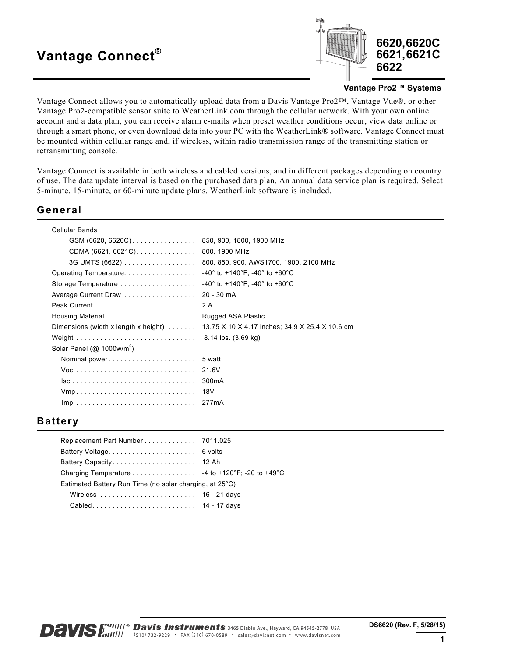# **Vantage Connect®**



#### **Vantage Pro2™ Systems**

Vantage Connect allows you to automatically upload data from a Davis Vantage Pro2™, Vantage Vue®, or other Vantage Pro2-compatible sensor suite to WeatherLink.com through the cellular network. With your own online account and a data plan, you can receive alarm e-mails when preset weather conditions occur, view data online or through a smart phone, or even download data into your PC with the WeatherLink® software. Vantage Connect must be mounted within cellular range and, if wireless, within radio transmission range of the transmitting station or retransmitting console.

Vantage Connect is available in both wireless and cabled versions, and in different packages depending on country of use. The data update interval is based on the purchased data plan. An annual data service plan is required. Select 5-minute, 15-minute, or 60-minute update plans. WeatherLink software is included.

### **General**

| Cellular Bands                            |                                                                                                      |
|-------------------------------------------|------------------------------------------------------------------------------------------------------|
| GSM (6620, 6620C)850, 900, 1800, 1900 MHz |                                                                                                      |
| CDMA (6621, 6621C) 800, 1900 MHz          |                                                                                                      |
|                                           |                                                                                                      |
|                                           |                                                                                                      |
|                                           |                                                                                                      |
|                                           |                                                                                                      |
|                                           |                                                                                                      |
|                                           |                                                                                                      |
|                                           | Dimensions (width x length x height) $\ldots \ldots$ 13.75 X 10 X 4.17 inches; 34.9 X 25.4 X 10.6 cm |
|                                           |                                                                                                      |
| Solar Panel ( $@$ 1000w/m <sup>2</sup> )  |                                                                                                      |
|                                           |                                                                                                      |
|                                           |                                                                                                      |
|                                           |                                                                                                      |
|                                           |                                                                                                      |
|                                           |                                                                                                      |
|                                           |                                                                                                      |

### **Battery**

| Replacement Part Number 7011.025                        |  |
|---------------------------------------------------------|--|
|                                                         |  |
|                                                         |  |
| Charging Temperature 4 to +120°F; -20 to +49°C          |  |
| Estimated Battery Run Time (no solar charging, at 25°C) |  |
| Wireless  16 - 21 days                                  |  |
| Cabled 14 - 17 days                                     |  |
|                                                         |  |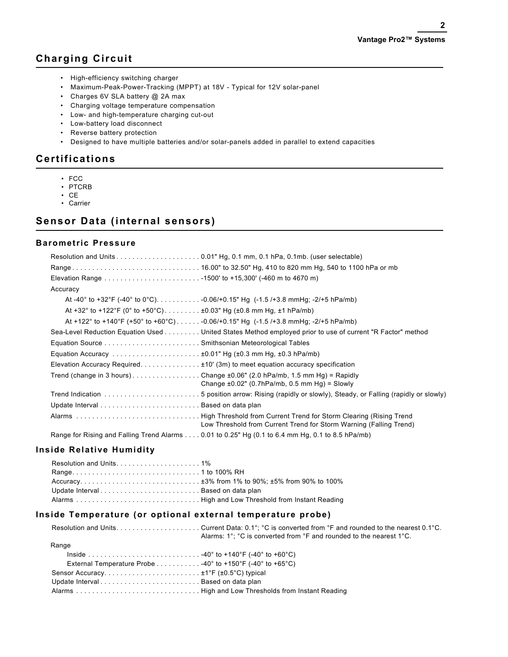# **Charging Circuit**

- High-efficiency switching charger
- Maximum-Peak-Power-Tracking (MPPT) at 18V Typical for 12V solar-panel
- Charges 6V SLA battery @ 2A max
- Charging voltage temperature compensation
- Low- and high-temperature charging cut-out
- Low-battery load disconnect
- Reverse battery protection
- Designed to have multiple batteries and/or solar-panels added in parallel to extend capacities

### **Certifications**

- FCC
- PTCRB
- CE
- Carrier

### **Sensor Data (internal sensors)**

### **Barometric Pressure**

| Accuracy                                                                                                                                        |  |
|-------------------------------------------------------------------------------------------------------------------------------------------------|--|
| At -40° to +32°F (-40° to 0°C)0.06/+0.15" Hg (-1.5 /+3.8 mmHg; -2/+5 hPa/mb)                                                                    |  |
| At +32° to +122°F (0° to +50°C) ±0.03" Hg (±0.8 mm Hg, ±1 hPa/mb)                                                                               |  |
| At +122° to +140°F (+50° to +60°C)-0.06/+0.15" Hg (-1.5/+3.8 mmHg; -2/+5 hPa/mb)                                                                |  |
| Sea-Level Reduction Equation Used United States Method employed prior to use of current "R Factor" method                                       |  |
|                                                                                                                                                 |  |
|                                                                                                                                                 |  |
| Elevation Accuracy Required. $\pm$ 10' (3m) to meet equation accuracy specification                                                             |  |
| Trend (change in 3 hours)Change $\pm 0.06$ " (2.0 hPa/mb, 1.5 mm Hg) = Rapidly<br>Change $\pm 0.02$ " (0.7hPa/mb, 0.5 mm Hg) = Slowly           |  |
| Trend Indication 5 position arrow: Rising (rapidly or slowly), Steady, or Falling (rapidly or slowly)                                           |  |
|                                                                                                                                                 |  |
| Alarms High Threshold from Current Trend for Storm Clearing (Rising Trend<br>Low Threshold from Current Trend for Storm Warning (Falling Trend) |  |
| Range for Rising and Falling Trend Alarms 0.01 to 0.25" Hg (0.1 to 6.4 mm Hg, 0.1 to 8.5 hPa/mb)                                                |  |

### **Inside Relative Humidity**

| Range1 to 100% RH                                                                                                                    |  |
|--------------------------------------------------------------------------------------------------------------------------------------|--|
| $Accuracy. \ldots \ldots \ldots \ldots \ldots \ldots \ldots \ldots \ldots \ldots \pm 3\%$ from 1% to 90%; $\pm 5\%$ from 90% to 100% |  |
| Update IntervalBased on data plan                                                                                                    |  |
| Alarms High and Low Threshold from Instant Reading                                                                                   |  |

### **Inside Temperature (or optional external temperature probe)**

|                                                                         | Alarms: $1^{\circ}$ ; $^{\circ}$ C is converted from $^{\circ}$ F and rounded to the nearest $1^{\circ}$ C. |
|-------------------------------------------------------------------------|-------------------------------------------------------------------------------------------------------------|
| Range                                                                   |                                                                                                             |
|                                                                         |                                                                                                             |
| External Temperature Probe $\ldots$ , , , 40° to +150°F (-40° to +65°C) |                                                                                                             |
|                                                                         |                                                                                                             |
|                                                                         |                                                                                                             |
|                                                                         |                                                                                                             |